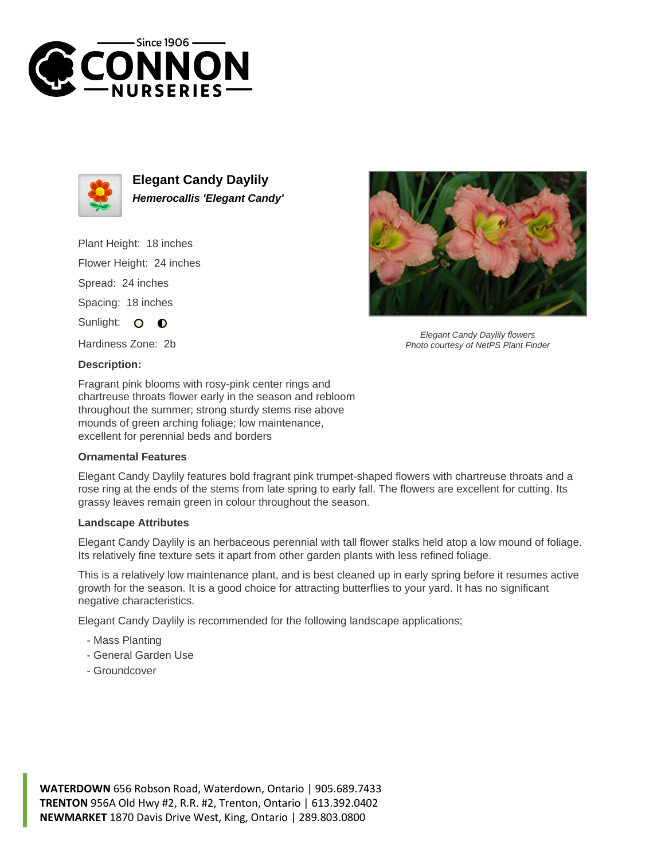



**Elegant Candy Daylily Hemerocallis 'Elegant Candy'**

Plant Height: 18 inches Flower Height: 24 inches

Spread: 24 inches

Spacing: 18 inches

Sunlight: O  $\bullet$ 

Hardiness Zone: 2b

## **Description:**

Fragrant pink blooms with rosy-pink center rings and chartreuse throats flower early in the season and rebloom throughout the summer; strong sturdy stems rise above mounds of green arching foliage; low maintenance, excellent for perennial beds and borders

## **Ornamental Features**

Elegant Candy Daylily features bold fragrant pink trumpet-shaped flowers with chartreuse throats and a rose ring at the ends of the stems from late spring to early fall. The flowers are excellent for cutting. Its grassy leaves remain green in colour throughout the season.

## **Landscape Attributes**

Elegant Candy Daylily is an herbaceous perennial with tall flower stalks held atop a low mound of foliage. Its relatively fine texture sets it apart from other garden plants with less refined foliage.

This is a relatively low maintenance plant, and is best cleaned up in early spring before it resumes active growth for the season. It is a good choice for attracting butterflies to your yard. It has no significant negative characteristics.

Elegant Candy Daylily is recommended for the following landscape applications;

- Mass Planting
- General Garden Use
- Groundcover



Elegant Candy Daylily flowers Photo courtesy of NetPS Plant Finder

**WATERDOWN** 656 Robson Road, Waterdown, Ontario | 905.689.7433 **TRENTON** 956A Old Hwy #2, R.R. #2, Trenton, Ontario | 613.392.0402 **NEWMARKET** 1870 Davis Drive West, King, Ontario | 289.803.0800